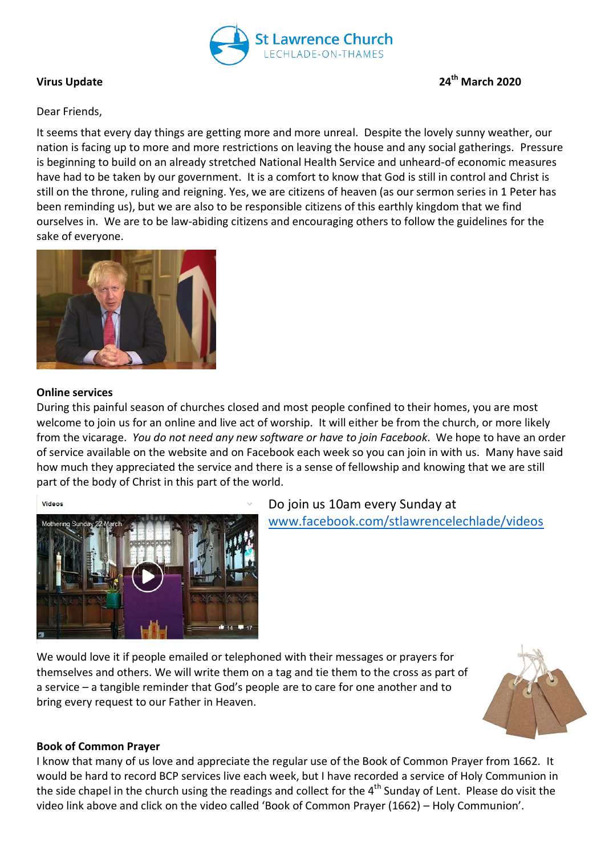

# **Virus Update 24th March 2020**

# Dear Friends,

It seems that every day things are getting more and more unreal. Despite the lovely sunny weather, our nation is facing up to more and more restrictions on leaving the house and any social gatherings. Pressure is beginning to build on an already stretched National Health Service and unheard-of economic measures have had to be taken by our government. It is a comfort to know that God is still in control and Christ is still on the throne, ruling and reigning. Yes, we are citizens of heaven (as our sermon series in 1 Peter has been reminding us), but we are also to be responsible citizens of this earthly kingdom that we find ourselves in. We are to be law-abiding citizens and encouraging others to follow the guidelines for the sake of everyone.



### **Online services**

During this painful season of churches closed and most people confined to their homes, you are most welcome to join us for an online and live act of worship. It will either be from the church, or more likely from the vicarage. *You do not need any new software or have to join Facebook*. We hope to have an order of service available on the website and on Facebook each week so you can join in with us. Many have said how much they appreciated the service and there is a sense of fellowship and knowing that we are still part of the body of Christ in this part of the world.





Do join us 10am every Sunday at [www.facebook.com/stlawrencelechlade/videos](http://www.facebook.com/stlawrencelechlade/videos)

We would love it if people emailed or telephoned with their messages or prayers for themselves and others. We will write them on a tag and tie them to the cross as part of a service – a tangible reminder that God's people are to care for one another and to bring every request to our Father in Heaven.



### **Book of Common Prayer**

I know that many of us love and appreciate the regular use of the Book of Common Prayer from 1662. It would be hard to record BCP services live each week, but I have recorded a service of Holy Communion in the side chapel in the church using the readings and collect for the  $4<sup>th</sup>$  Sunday of Lent. Please do visit the video link above and click on the video called 'Book of Common Prayer (1662) – Holy Communion'.